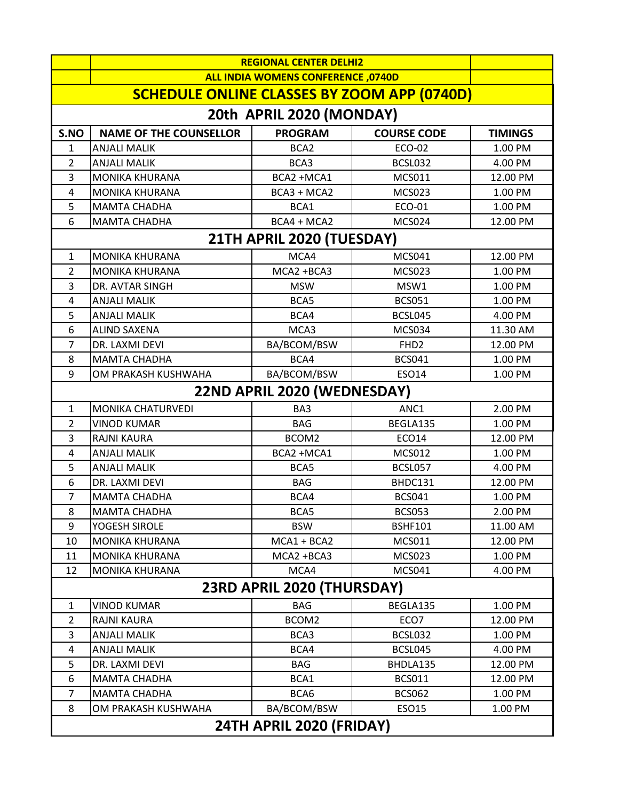|                                                    | <b>REGIONAL CENTER DELHI2</b>             |                  |                    |                |  |  |
|----------------------------------------------------|-------------------------------------------|------------------|--------------------|----------------|--|--|
|                                                    | <b>ALL INDIA WOMENS CONFERENCE, 0740D</b> |                  |                    |                |  |  |
| <b>SCHEDULE ONLINE CLASSES BY ZOOM APP (0740D)</b> |                                           |                  |                    |                |  |  |
| 20th APRIL 2020 (MONDAY)                           |                                           |                  |                    |                |  |  |
| S.NO                                               | <b>NAME OF THE COUNSELLOR</b>             | <b>PROGRAM</b>   | <b>COURSE CODE</b> | <b>TIMINGS</b> |  |  |
| 1                                                  | <b>ANJALI MALIK</b>                       | BCA <sub>2</sub> | ECO-02             | 1.00 PM        |  |  |
| 2                                                  | <b>ANJALI MALIK</b>                       | BCA3             | BCSL032            | 4.00 PM        |  |  |
| 3                                                  | <b>MONIKA KHURANA</b>                     | BCA2 +MCA1       | <b>MCS011</b>      | 12.00 PM       |  |  |
| 4                                                  | <b>MONIKA KHURANA</b>                     | BCA3 + MCA2      | <b>MCS023</b>      | 1.00 PM        |  |  |
| 5                                                  | <b>MAMTA CHADHA</b>                       | BCA1             | ECO-01             | 1.00 PM        |  |  |
| 6                                                  | <b>MAMTA CHADHA</b>                       | BCA4 + MCA2      | <b>MCS024</b>      | 12.00 PM       |  |  |
| 21TH APRIL 2020 (TUESDAY)                          |                                           |                  |                    |                |  |  |
| 1                                                  | <b>MONIKA KHURANA</b>                     | MCA4             | <b>MCS041</b>      | 12.00 PM       |  |  |
| 2                                                  | <b>MONIKA KHURANA</b>                     | MCA2 +BCA3       | <b>MCS023</b>      | 1.00 PM        |  |  |
| 3                                                  | <b>DR. AVTAR SINGH</b>                    | <b>MSW</b>       | MSW1               | 1.00 PM        |  |  |
| 4                                                  | <b>ANJALI MALIK</b>                       | BCA5             | <b>BCS051</b>      | 1.00 PM        |  |  |
| 5                                                  | <b>ANJALI MALIK</b>                       | BCA4             | BCSL045            | 4.00 PM        |  |  |
| 6                                                  | <b>ALIND SAXENA</b>                       | MCA3             | <b>MCS034</b>      | 11.30 AM       |  |  |
| 7                                                  | DR. LAXMI DEVI                            | BA/BCOM/BSW      | FHD <sub>2</sub>   | 12.00 PM       |  |  |
| 8                                                  | <b>MAMTA CHADHA</b>                       | BCA4             | <b>BCS041</b>      | 1.00 PM        |  |  |
| 9                                                  | OM PRAKASH KUSHWAHA                       | BA/BCOM/BSW      | ESO14              | 1.00 PM        |  |  |
| 22ND APRIL 2020 (WEDNESDAY)                        |                                           |                  |                    |                |  |  |
| $\mathbf{1}$                                       | MONIKA CHATURVEDI                         | BA3              | ANC1               | 2.00 PM        |  |  |
| 2                                                  | <b>VINOD KUMAR</b>                        | <b>BAG</b>       | BEGLA135           | 1.00 PM        |  |  |
| 3                                                  | <b>RAJNI KAURA</b>                        | BCOM2            | ECO14              | 12.00 PM       |  |  |
| 4                                                  | <b>ANJALI MALIK</b>                       | BCA2 +MCA1       | <b>MCS012</b>      | 1.00 PM        |  |  |
| 5                                                  | <b>ANJALI MALIK</b>                       | BCA5             | BCSL057            | 4.00 PM        |  |  |
| 6                                                  | DR. LAXMI DEVI                            | <b>BAG</b>       | BHDC131            | 12.00 PM       |  |  |
| 7                                                  | <b>MAMTA CHADHA</b>                       | BCA4             | <b>BCS041</b>      | 1.00 PM        |  |  |
| 8                                                  | <b>MAMTA CHADHA</b>                       | BCA5             | <b>BCS053</b>      | 2.00 PM        |  |  |
| 9                                                  | YOGESH SIROLE                             | <b>BSW</b>       | <b>BSHF101</b>     | 11.00 AM       |  |  |
| 10                                                 | <b>MONIKA KHURANA</b>                     | $MCA1 + BCA2$    | MCS011             | 12.00 PM       |  |  |
| 11                                                 | <b>MONIKA KHURANA</b>                     | MCA2 +BCA3       | <b>MCS023</b>      | 1.00 PM        |  |  |
| 12                                                 | <b>MONIKA KHURANA</b>                     | MCA4             | <b>MCS041</b>      | 4.00 PM        |  |  |
| 23RD APRIL 2020 (THURSDAY)                         |                                           |                  |                    |                |  |  |
| 1                                                  | <b>VINOD KUMAR</b>                        | <b>BAG</b>       | BEGLA135           | 1.00 PM        |  |  |
| 2                                                  | <b>RAJNI KAURA</b>                        | BCOM2            | ECO7               | 12.00 PM       |  |  |
| 3                                                  | <b>ANJALI MALIK</b>                       | BCA3             | BCSL032            | 1.00 PM        |  |  |
| 4                                                  | <b>ANJALI MALIK</b>                       | BCA4             | BCSL045            | 4.00 PM        |  |  |
| 5                                                  | DR. LAXMI DEVI                            | <b>BAG</b>       | BHDLA135           | 12.00 PM       |  |  |
| 6                                                  | <b>MAMTA CHADHA</b>                       | BCA1             | <b>BCS011</b>      | 12.00 PM       |  |  |
| 7                                                  | <b>MAMTA CHADHA</b>                       | BCA6             | <b>BCS062</b>      | 1.00 PM        |  |  |
| 8                                                  | OM PRAKASH KUSHWAHA                       | BA/BCOM/BSW      | ESO15              | 1.00 PM        |  |  |
| 24TH APRIL 2020 (FRIDAY)                           |                                           |                  |                    |                |  |  |